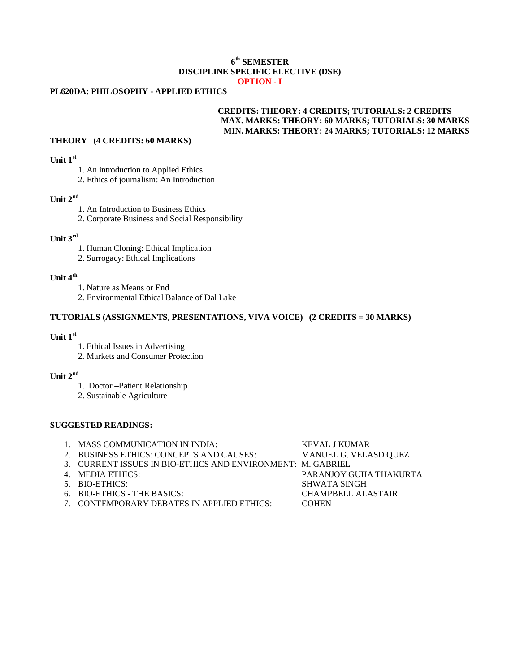### **6 th SEMESTER DISCIPLINE SPECIFIC ELECTIVE (DSE) OPTION - I**

## **PL620DA: PHILOSOPHY - APPLIED ETHICS**

## **CREDITS: THEORY: 4 CREDITS; TUTORIALS: 2 CREDITS MAX. MARKS: THEORY: 60 MARKS; TUTORIALS: 30 MARKS MIN. MARKS: THEORY: 24 MARKS; TUTORIALS: 12 MARKS**

#### **THEORY (4 CREDITS: 60 MARKS)**

#### **Unit 1st**

- 1. An introduction to Applied Ethics
- 2. Ethics of journalism: An Introduction

## **Unit 2nd**

- 1. An Introduction to Business Ethics
- 2. Corporate Business and Social Responsibility

# **Unit 3rd**

- 1. Human Cloning: Ethical Implication
- 2. Surrogacy: Ethical Implications

## **Unit 4th**

- 1. Nature as Means or End
- 2. Environmental Ethical Balance of Dal Lake

## **TUTORIALS (ASSIGNMENTS, PRESENTATIONS, VIVA VOICE) (2 CREDITS = 30 MARKS)**

#### **Unit 1st**

- 1. Ethical Issues in Advertising
- 2. Markets and Consumer Protection

# **Unit 2nd**

- 1. Doctor –Patient Relationship
- 2. Sustainable Agriculture

## **SUGGESTED READINGS:**

| 1. MASS COMMUNICATION IN INDIA:                             | <b>KEVAL J KUMAR</b>      |
|-------------------------------------------------------------|---------------------------|
| 2. BUSINESS ETHICS: CONCEPTS AND CAUSES:                    | MANUEL G. VELASD QUEZ     |
| 3. CURRENT ISSUES IN BIO-ETHICS AND ENVIRONMENT: M. GABRIEL |                           |
| 4. MEDIA ETHICS:                                            | PARANJOY GUHA THAKURTA    |
| 5. BIO-ETHICS:                                              | <b>SHWATA SINGH</b>       |
| 6. BIO-ETHICS - THE BASICS:                                 | <b>CHAMPBELL ALASTAIR</b> |
| 7. CONTEMPORARY DEBATES IN APPLIED ETHICS:                  | <b>COHEN</b>              |
|                                                             |                           |
|                                                             |                           |